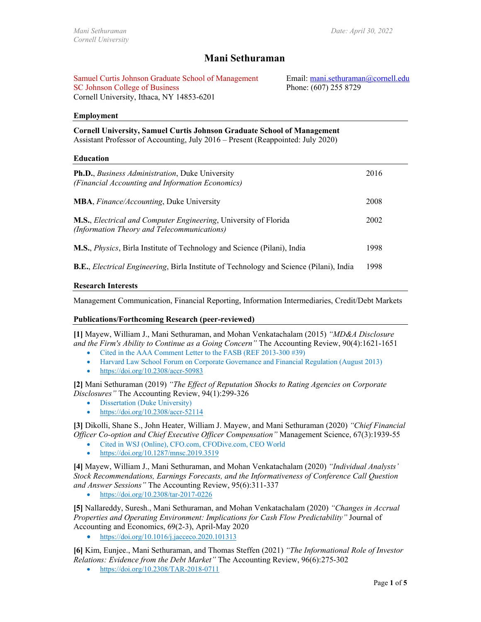Email: mani.sethuraman@cornell.edu

Phone: (607) 255 8729

# **Mani Sethuraman**

Samuel Curtis Johnson Graduate School of Management SC Johnson College of Business Cornell University, Ithaca, NY 14853-6201

**Employment**

**Cornell University, Samuel Curtis Johnson Graduate School of Management**

Assistant Professor of Accounting, July 2016 – Present (Reappointed: July 2020)

#### **Education**

| <b>Ph.D.</b> , <i>Business Administration</i> , Duke University<br>(Financial Accounting and Information Economics) | 2016 |
|---------------------------------------------------------------------------------------------------------------------|------|
| <b>MBA</b> , <i>Finance/Accounting</i> , Duke University                                                            | 2008 |
| M.S., Electrical and Computer Engineering, University of Florida<br>(Information Theory and Telecommunications)     | 2002 |
| M.S., <i>Physics</i> , Birla Institute of Technology and Science (Pilani), India                                    | 1998 |
| <b>B.E.</b> , <i>Electrical Engineering</i> , Birla Institute of Technology and Science (Pilani), India             | 1998 |

#### **Research Interests**

Management Communication, Financial Reporting, Information Intermediaries, Credit/Debt Markets

#### **Publications/Forthcoming Research (peer-reviewed)**

**[1]** Mayew, William J., Mani Sethuraman, and Mohan Venkatachalam (2015) *"MD&A Disclosure and the Firm's Ability to Continue as a Going Concern"* The Accounting Review, 90(4):1621-1651

- Cited in the AAA Comment Letter to the FASB (REF 2013-300 #39)
- Harvard Law School Forum on Corporate Governance and Financial Regulation (August 2013)
- <https://doi.org/10.2308/accr-50983>

**[2]** Mani Sethuraman (2019) *"The Effect of Reputation Shocks to Rating Agencies on Corporate Disclosures"* The Accounting Review, 94(1):299-326

- Dissertation (Duke University)
- <https://doi.org/10.2308/accr-52114>

**[3]** Dikolli, Shane S., John Heater, William J. Mayew, and Mani Sethuraman (2020) *"Chief Financial Officer Co-option and Chief Executive Officer Compensation"* Management Science, 67(3):1939-55

- Cited in WSJ (Online), CFO.com, CFODive.com, CEO World
- <https://doi.org/10.1287/mnsc.2019.3519>

**[4]** Mayew, William J., Mani Sethuraman, and Mohan Venkatachalam (2020) *"Individual Analysts' Stock Recommendations, Earnings Forecasts, and the Informativeness of Conference Call Question and Answer Sessions"* The Accounting Review, 95(6):311-337

• <https://doi.org/10.2308/tar-2017-0226>

**[5]** Nallareddy, Suresh., Mani Sethuraman, and Mohan Venkatachalam (2020) *"Changes in Accrual Properties and Operating Environment: Implications for Cash Flow Predictability"* Journal of Accounting and Economics, 69(2-3), April-May 2020

• <https://doi.org/10.1016/j.jacceco.2020.101313>

**[6]** Kim, Eunjee., Mani Sethuraman, and Thomas Steffen (2021) *"The Informational Role of Investor Relations: Evidence from the Debt Market"* The Accounting Review, 96(6):275-302

• <https://doi.org/10.2308/TAR-2018-0711>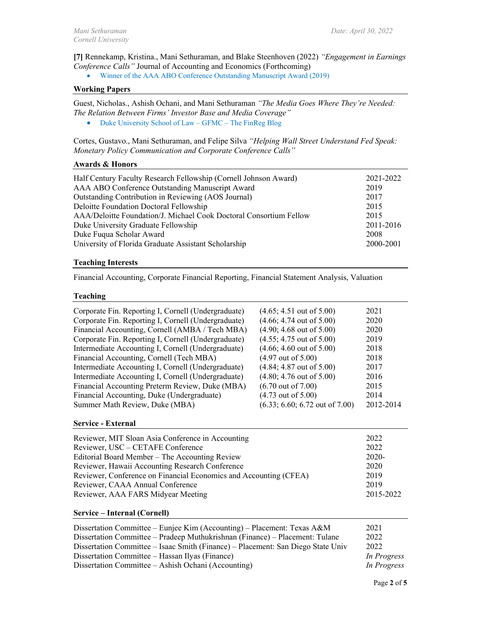**[7]** Rennekamp, Kristina., Mani Sethuraman, and Blake Steenhoven (2022) *"Engagement in Earnings Conference Calls"* Journal of Accounting and Economics (Forthcoming)

• Winner of the AAA ABO Conference Outstanding Manuscript Award (2019)

### **Working Papers**

Guest, Nicholas., Ashish Ochani, and Mani Sethuraman *"The Media Goes Where They're Needed: The Relation Between Firms' Investor Base and Media Coverage"* 

• Duke University School of Law – GFMC – The FinReg Blog

Cortes, Gustavo., Mani Sethuraman, and Felipe Silva *"Helping Wall Street Understand Fed Speak: Monetary Policy Communication and Corporate Conference Calls"* 

# **Awards & Honors**

| Half Century Faculty Research Fellowship (Cornell Johnson Award)   | 2021-2022 |
|--------------------------------------------------------------------|-----------|
| AAA ABO Conference Outstanding Manuscript Award                    | 2019      |
| Outstanding Contribution in Reviewing (AOS Journal)                | 2017      |
| Deloitte Foundation Doctoral Fellowship                            | 2015      |
| AAA/Deloitte Foundation/J. Michael Cook Doctoral Consortium Fellow | 2015      |
| Duke University Graduate Fellowship                                | 2011-2016 |
| Duke Fuqua Scholar Award                                           | 2008      |
| University of Florida Graduate Assistant Scholarship               | 2000-2001 |

#### **Teaching Interests**

Financial Accounting, Corporate Financial Reporting, Financial Statement Analysis, Valuation

# **Teaching**

| Corporate Fin. Reporting I, Cornell (Undergraduate)<br>Corporate Fin. Reporting I, Cornell (Undergraduate)<br>Financial Accounting, Cornell (AMBA / Tech MBA)<br>Corporate Fin. Reporting I, Cornell (Undergraduate)<br>Intermediate Accounting I, Cornell (Undergraduate)<br>Financial Accounting, Cornell (Tech MBA) | $(4.65; 4.51$ out of 5.00)<br>$(4.66; 4.74 \text{ out of } 5.00)$<br>$(4.90; 4.68$ out of $5.00)$<br>$(4.55; 4.75$ out of 5.00)<br>$(4.66; 4.60$ out of $5.00)$<br>$(4.97 \text{ out of } 5.00)$ | 2021<br>2020<br>2020<br>2019<br>2018<br>2018<br>2017 |
|------------------------------------------------------------------------------------------------------------------------------------------------------------------------------------------------------------------------------------------------------------------------------------------------------------------------|--------------------------------------------------------------------------------------------------------------------------------------------------------------------------------------------------|------------------------------------------------------|
| Intermediate Accounting I, Cornell (Undergraduate)                                                                                                                                                                                                                                                                     | $(4.84; 4.87 \text{ out of } 5.00)$                                                                                                                                                              |                                                      |
| Intermediate Accounting I, Cornell (Undergraduate)                                                                                                                                                                                                                                                                     | $(4.80; 4.76$ out of $5.00)$                                                                                                                                                                     | 2016                                                 |
| Financial Accounting Preterm Review, Duke (MBA)                                                                                                                                                                                                                                                                        | $(6.70 \text{ out of } 7.00)$                                                                                                                                                                    | 2015                                                 |
| Financial Accounting, Duke (Undergraduate)                                                                                                                                                                                                                                                                             | $(4.73 \text{ out of } 5.00)$                                                                                                                                                                    | 2014                                                 |
| Summer Math Review, Duke (MBA)                                                                                                                                                                                                                                                                                         | $(6.33; 6.60; 6.72$ out of $7.00)$                                                                                                                                                               | 2012-2014                                            |

# **Service - External**

| Reviewer, MIT Sloan Asia Conference in Accounting                 | 2022      |
|-------------------------------------------------------------------|-----------|
| Reviewer, USC – CETAFE Conference                                 | 2022      |
| Editorial Board Member – The Accounting Review                    | $2020-$   |
| Reviewer, Hawaii Accounting Research Conference                   | 2020      |
| Reviewer, Conference on Financial Economics and Accounting (CFEA) | 2019      |
|                                                                   |           |
| Reviewer, CAAA Annual Conference                                  | 2019      |
| Reviewer, AAA FARS Midyear Meeting                                | 2015-2022 |
|                                                                   |           |

#### **Service – Internal (Cornell)**

| Dissertation Committee – Eunjee Kim (Accounting) – Placement: Texas A&M          | 2021        |
|----------------------------------------------------------------------------------|-------------|
| Dissertation Committee – Pradeep Muthukrishnan (Finance) – Placement: Tulane     | 2022        |
| Dissertation Committee – Isaac Smith (Finance) – Placement: San Diego State Univ | 2022        |
| Dissertation Committee – Hassan Ilyas (Finance)                                  | In Progress |
| Dissertation Committee – Ashish Ochani (Accounting)                              | In Progress |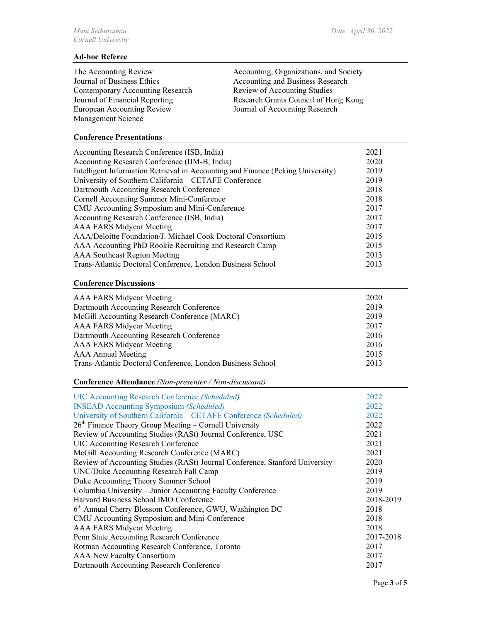# **Ad-hoc Referee**

Journal of Business Ethics<br>
Contemporary Accounting Research<br>
Review of Accounting Studies Contemporary Accounting Research<br>Journal of Financial Reporting European Accounting Review Journal of Accounting Research Management Science

The Accounting Review Accounting, Organizations, and Society Research Grants Council of Hong Kong

# **Conference Presentations**

| Accounting Research Conference (ISB, India)                                     | 2021 |
|---------------------------------------------------------------------------------|------|
| Accounting Research Conference (IIM-B, India)                                   | 2020 |
| Intelligent Information Retrieval in Accounting and Finance (Peking University) | 2019 |
| University of Southern California – CETAFE Conference                           | 2019 |
| Dartmouth Accounting Research Conference                                        | 2018 |
| Cornell Accounting Summer Mini-Conference                                       | 2018 |
| CMU Accounting Symposium and Mini-Conference                                    | 2017 |
| Accounting Research Conference (ISB, India)                                     | 2017 |
| AAA FARS Midyear Meeting                                                        | 2017 |
| AAA/Deloitte Foundation/J. Michael Cook Doctoral Consortium                     | 2015 |
| AAA Accounting PhD Rookie Recruiting and Research Camp                          | 2015 |
| <b>AAA Southeast Region Meeting</b>                                             | 2013 |
| Trans-Atlantic Doctoral Conference, London Business School                      | 2013 |

#### **Conference Discussions**

| AAA FARS Midyear Meeting                                   | 2020 |
|------------------------------------------------------------|------|
| Dartmouth Accounting Research Conference                   | 2019 |
| McGill Accounting Research Conference (MARC)               | 2019 |
| AAA FARS Midyear Meeting                                   | 2017 |
| Dartmouth Accounting Research Conference                   | 2016 |
| AAA FARS Midyear Meeting                                   | 2016 |
| <b>AAA</b> Annual Meeting                                  | 2015 |
| Trans-Atlantic Doctoral Conference, London Business School | 2013 |

**Conference Attendance** *(Non-presenter / Non-discussant)* 

| <b>UIC Accounting Research Conference (Scheduled)</b>                       | 2022      |
|-----------------------------------------------------------------------------|-----------|
| <b>INSEAD Accounting Symposium (Scheduled)</b>                              | 2022      |
| University of Southern California - CETAFE Conference (Scheduled)           | 2022      |
| $26th$ Finance Theory Group Meeting – Cornell University                    | 2022      |
| Review of Accounting Studies (RASt) Journal Conference, USC                 | 2021      |
| <b>UIC Accounting Research Conference</b>                                   | 2021      |
| McGill Accounting Research Conference (MARC)                                | 2021      |
| Review of Accounting Studies (RASt) Journal Conference, Stanford University | 2020      |
| UNC/Duke Accounting Research Fall Camp                                      | 2019      |
| Duke Accounting Theory Summer School                                        | 2019      |
| Columbia University - Junior Accounting Faculty Conference                  | 2019      |
| Harvard Business School IMO Conference                                      | 2018-2019 |
| 6 <sup>th</sup> Annual Cherry Blossom Conference, GWU, Washington DC        | 2018      |
| CMU Accounting Symposium and Mini-Conference                                | 2018      |
| <b>AAA FARS Midyear Meeting</b>                                             | 2018      |
| Penn State Accounting Research Conference                                   | 2017-2018 |
| Rotman Accounting Research Conference, Toronto                              | 2017      |
| <b>AAA New Faculty Consortium</b>                                           | 2017      |
| Dartmouth Accounting Research Conference                                    | 2017      |
|                                                                             |           |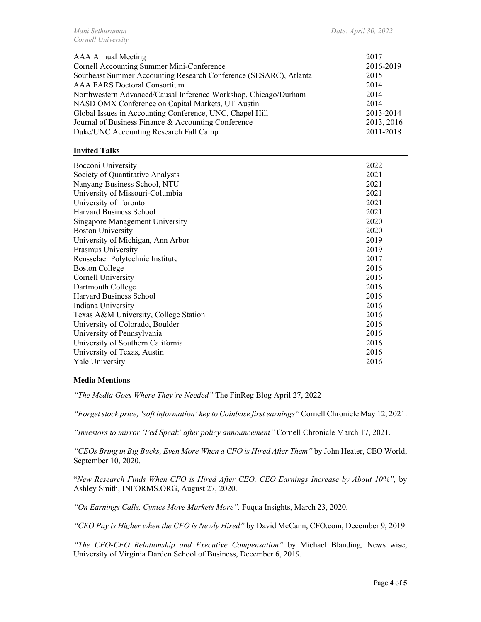| AAA Annual Meeting                                                | 2017       |
|-------------------------------------------------------------------|------------|
| Cornell Accounting Summer Mini-Conference                         | 2016-2019  |
| Southeast Summer Accounting Research Conference (SESARC), Atlanta | 2015       |
| <b>AAA FARS Doctoral Consortium</b>                               | 2014       |
| Northwestern Advanced/Causal Inference Workshop, Chicago/Durham   | 2014       |
| NASD OMX Conference on Capital Markets, UT Austin                 | 2014       |
| Global Issues in Accounting Conference, UNC, Chapel Hill          | 2013-2014  |
| Journal of Business Finance & Accounting Conference               | 2013, 2016 |
| Duke/UNC Accounting Research Fall Camp                            | 2011-2018  |

# **Invited Talks**

| Bocconi University                    | 2022 |
|---------------------------------------|------|
| Society of Quantitative Analysts      | 2021 |
| Nanyang Business School, NTU          | 2021 |
| University of Missouri-Columbia       | 2021 |
| University of Toronto                 | 2021 |
| Harvard Business School               | 2021 |
| Singapore Management University       | 2020 |
| <b>Boston University</b>              | 2020 |
| University of Michigan, Ann Arbor     | 2019 |
| Erasmus University                    | 2019 |
| Rensselaer Polytechnic Institute      | 2017 |
| <b>Boston College</b>                 | 2016 |
| Cornell University                    | 2016 |
| Dartmouth College                     | 2016 |
| <b>Harvard Business School</b>        | 2016 |
| Indiana University                    | 2016 |
| Texas A&M University, College Station | 2016 |
| University of Colorado, Boulder       | 2016 |
| University of Pennsylvania            | 2016 |
| University of Southern California     | 2016 |
| University of Texas, Austin           | 2016 |
| Yale University                       | 2016 |
|                                       |      |

#### **Media Mentions**

*"The Media Goes Where They're Needed"* The FinReg Blog April 27, 2022

*"Forget stock price, 'soft information' key to Coinbase first earnings"* Cornell Chronicle May 12, 2021.

*"Investors to mirror 'Fed Speak' after policy announcement"* Cornell Chronicle March 17, 2021.

*"CEOs Bring in Big Bucks, Even More When a CFO is Hired After Them"* by John Heater, CEO World, September 10, 2020.

"*New Research Finds When CFO is Hired After CEO, CEO Earnings Increase by About 10%",* by Ashley Smith, INFORMS.ORG, August 27, 2020.

*"On Earnings Calls, Cynics Move Markets More",* Fuqua Insights, March 23, 2020.

*"CEO Pay is Higher when the CFO is Newly Hired"* by David McCann, CFO.com, December 9, 2019.

*"The CEO-CFO Relationship and Executive Compensation"* by Michael Blanding*,* News wise, University of Virginia Darden School of Business, December 6, 2019.